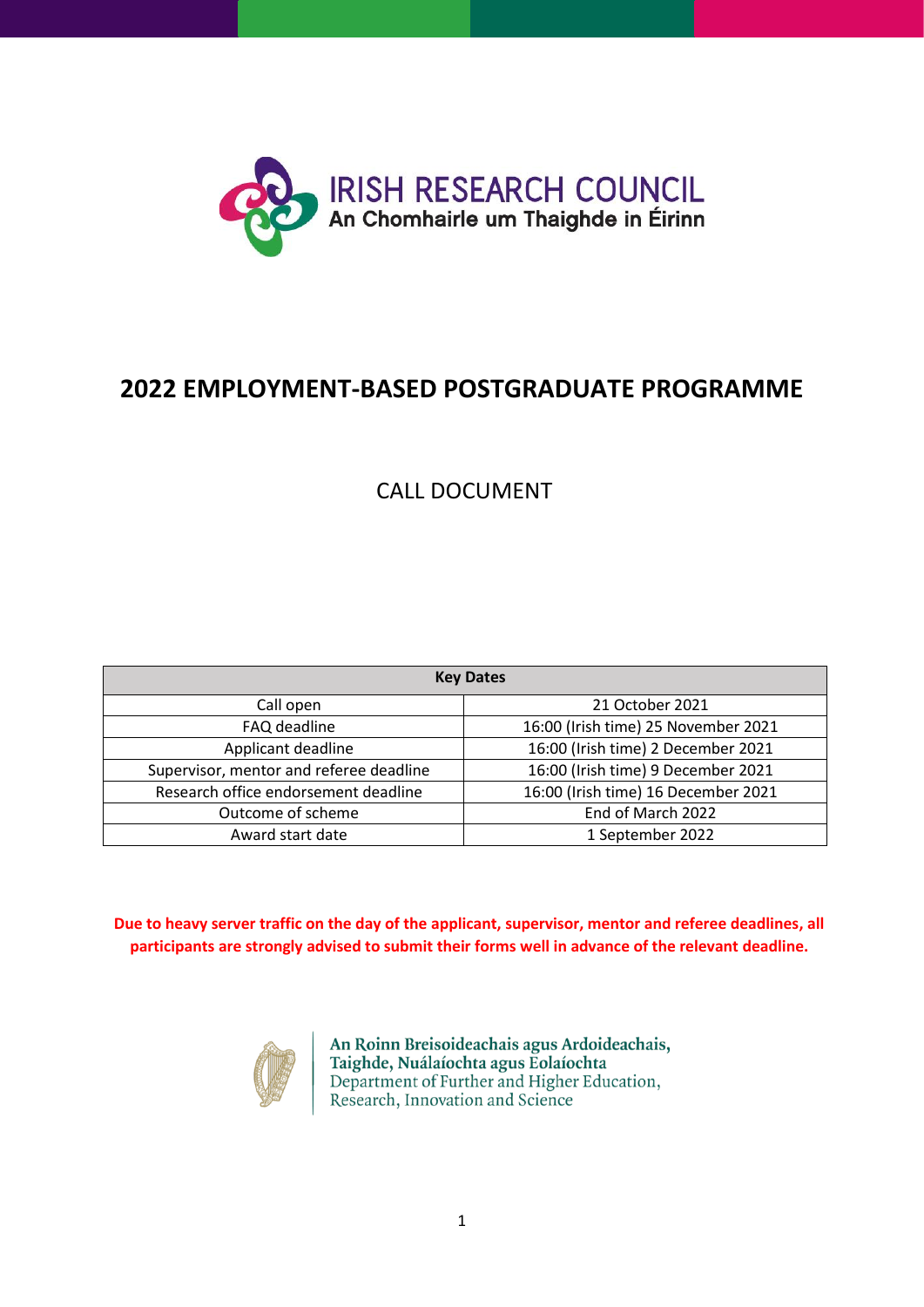

# **2022 EMPLOYMENT-BASED POSTGRADUATE PROGRAMME**

## CALL DOCUMENT

| <b>Key Dates</b>                        |                                     |  |  |  |
|-----------------------------------------|-------------------------------------|--|--|--|
| Call open                               | 21 October 2021                     |  |  |  |
| FAQ deadline                            | 16:00 (Irish time) 25 November 2021 |  |  |  |
| Applicant deadline                      | 16:00 (Irish time) 2 December 2021  |  |  |  |
| Supervisor, mentor and referee deadline | 16:00 (Irish time) 9 December 2021  |  |  |  |
| Research office endorsement deadline    | 16:00 (Irish time) 16 December 2021 |  |  |  |
| Outcome of scheme                       | End of March 2022                   |  |  |  |
| Award start date                        | 1 September 2022                    |  |  |  |

**Due to heavy server traffic on the day of the applicant, supervisor, mentor and referee deadlines, all participants are strongly advised to submit their forms well in advance of the relevant deadline.**



An Roinn Breisoideachais agus Ardoideachais, Taighde, Nuálaíochta agus Eolaíochta Department of Further and Higher Education, Research, Innovation and Science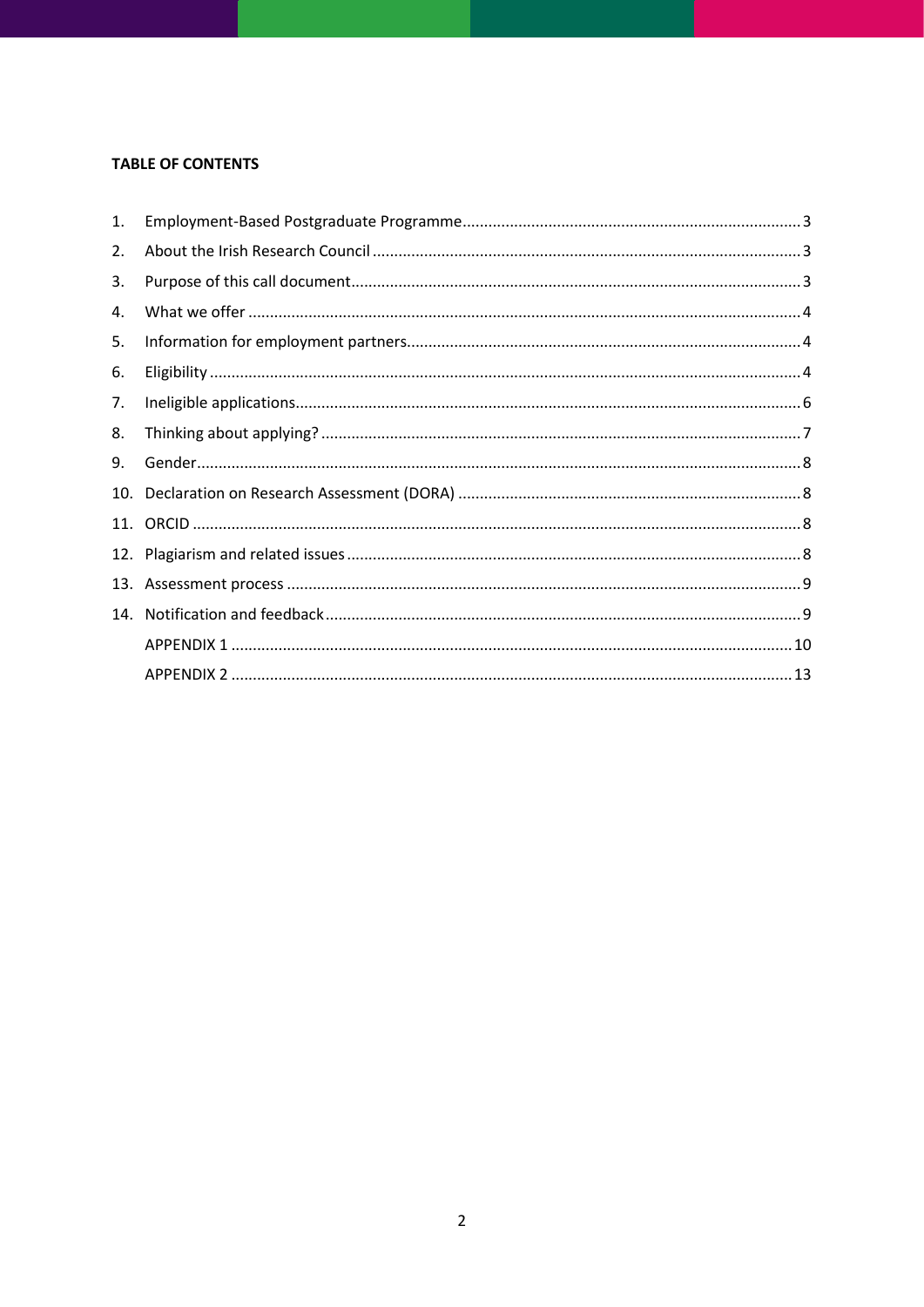## **TABLE OF CONTENTS**

| 1. |  |
|----|--|
| 2. |  |
| 3. |  |
| 4. |  |
| 5. |  |
| 6. |  |
| 7. |  |
| 8. |  |
| 9. |  |
|    |  |
|    |  |
|    |  |
|    |  |
|    |  |
|    |  |
|    |  |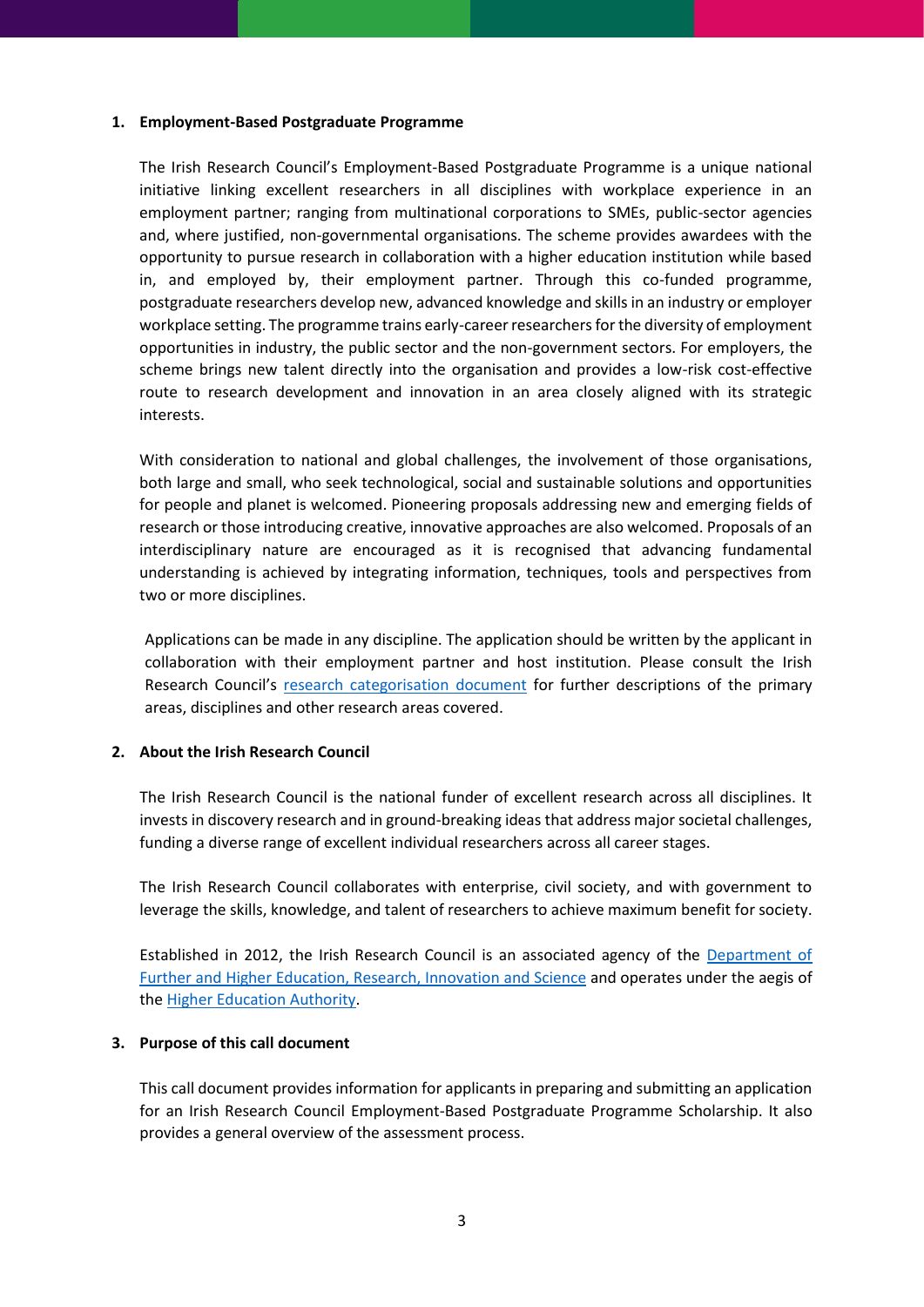#### <span id="page-2-0"></span>**1. Employment-Based Postgraduate Programme**

The Irish Research Council's Employment-Based Postgraduate Programme is a unique national initiative linking excellent researchers in all disciplines with workplace experience in an employment partner; ranging from multinational corporations to SMEs, public-sector agencies and, where justified, non-governmental organisations. The scheme provides awardees with the opportunity to pursue research in collaboration with a higher education institution while based in, and employed by, their employment partner. Through this co-funded programme, postgraduate researchers develop new, advanced knowledge and skills in an industry or employer workplace setting. The programme trains early-career researchers for the diversity of employment opportunities in industry, the public sector and the non-government sectors. For employers, the scheme brings new talent directly into the organisation and provides a low-risk cost-effective route to research development and innovation in an area closely aligned with its strategic interests.

With consideration to national and global challenges, the involvement of those organisations, both large and small, who seek technological, social and sustainable solutions and opportunities for people and planet is welcomed. Pioneering proposals addressing new and emerging fields of research or those introducing creative, innovative approaches are also welcomed. Proposals of an interdisciplinary nature are encouraged as it is recognised that advancing fundamental understanding is achieved by integrating information, techniques, tools and perspectives from two or more disciplines.

Applications can be made in any discipline. The application should be written by the applicant in collaboration with their employment partner and host institution. Please consult the Irish Research Council's [research categorisation document](https://research.ie/assets/uploads/2017/07/Research-Categorisation.pdf) for further descriptions of the primary areas, disciplines and other research areas covered.

#### <span id="page-2-1"></span>**2. About the Irish Research Council**

The Irish Research Council is the national funder of excellent research across all disciplines. It invests in discovery research and in ground-breaking ideas that address major societal challenges, funding a diverse range of excellent individual researchers across all career stages.

The Irish Research Council collaborates with enterprise, civil society, and with government to leverage the skills, knowledge, and talent of researchers to achieve maximum benefit for society.

Established in 2012, the Irish Research Council is an associated agency of the [Department of](https://www.gov.ie/en/organisation/department-of-higher-education-innovation-and-science/)  [Further and Higher Education, Research, Innovation and Science](https://www.gov.ie/en/organisation/department-of-higher-education-innovation-and-science/) and operates under the aegis of th[e Higher Education Authority.](https://hea.ie/)

#### <span id="page-2-2"></span>**3. Purpose of this call document**

This call document provides information for applicants in preparing and submitting an application for an Irish Research Council Employment-Based Postgraduate Programme Scholarship. It also provides a general overview of the assessment process.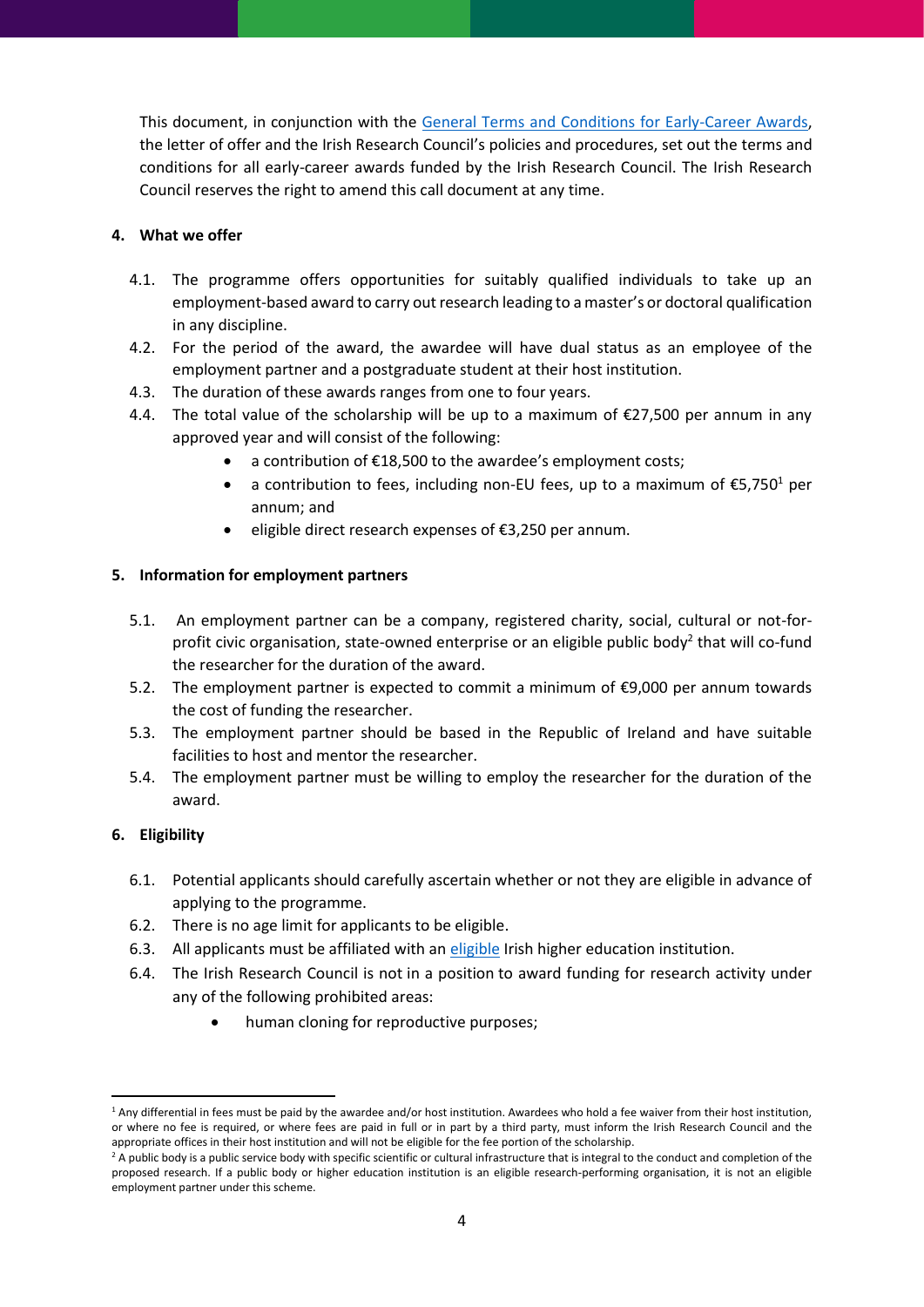This document, in conjunction with the [General Terms and Conditions for Early-Career Awards,](https://research.ie/funding/information-for-existing-awardees/) the letter of offer and the Irish Research Council's policies and procedures, set out the terms and conditions for all early-career awards funded by the Irish Research Council. The Irish Research Council reserves the right to amend this call document at any time.

## <span id="page-3-0"></span>**4. What we offer**

- 4.1. The programme offers opportunities for suitably qualified individuals to take up an employment-based award to carry out research leading to a master's or doctoral qualification in any discipline.
- 4.2. For the period of the award, the awardee will have dual status as an employee of the employment partner and a postgraduate student at their host institution.
- 4.3. The duration of these awards ranges from one to four years.
- 4.4. The total value of the scholarship will be up to a maximum of  $\epsilon$ 27,500 per annum in any approved year and will consist of the following:
	- a contribution of €18,500 to the awardee's employment costs;
	- a contribution to fees, including non-EU fees, up to a maximum of  $\epsilon$ 5,750<sup>1</sup> per annum; and
	- eligible direct research expenses of €3,250 per annum.

#### <span id="page-3-1"></span>**5. Information for employment partners**

- 5.1. An employment partner can be a company, registered charity, social, cultural or not-forprofit civic organisation, state-owned enterprise or an eligible public body<sup>2</sup> that will co-fund the researcher for the duration of the award.
- 5.2. The employment partner is expected to commit a minimum of  $\epsilon$ 9,000 per annum towards the cost of funding the researcher.
- 5.3. The employment partner should be based in the Republic of Ireland and have suitable facilities to host and mentor the researcher.
- 5.4. The employment partner must be willing to employ the researcher for the duration of the award.

#### <span id="page-3-2"></span>**6. Eligibility**

- 6.1. Potential applicants should carefully ascertain whether or not they are eligible in advance of applying to the programme.
- 6.2. There is no age limit for applicants to be eligible.
- 6.3. All applicants must be affiliated with an [eligible](http://research.ie/funding/eligible-higher-education-institutions-and-research-performing-organisations/) Irish higher education institution.
- 6.4. The Irish Research Council is not in a position to award funding for research activity under any of the following prohibited areas:
	- human cloning for reproductive purposes;

 $1$  Any differential in fees must be paid by the awardee and/or host institution. Awardees who hold a fee waiver from their host institution, or where no fee is required, or where fees are paid in full or in part by a third party, must inform the Irish Research Council and the appropriate offices in their host institution and will not be eligible for the fee portion of the scholarship.

<sup>&</sup>lt;sup>2</sup> A public body is a public service body with specific scientific or cultural infrastructure that is integral to the conduct and completion of the proposed research. If a public body or higher education institution is an eligible research-performing organisation, it is not an eligible employment partner under this scheme.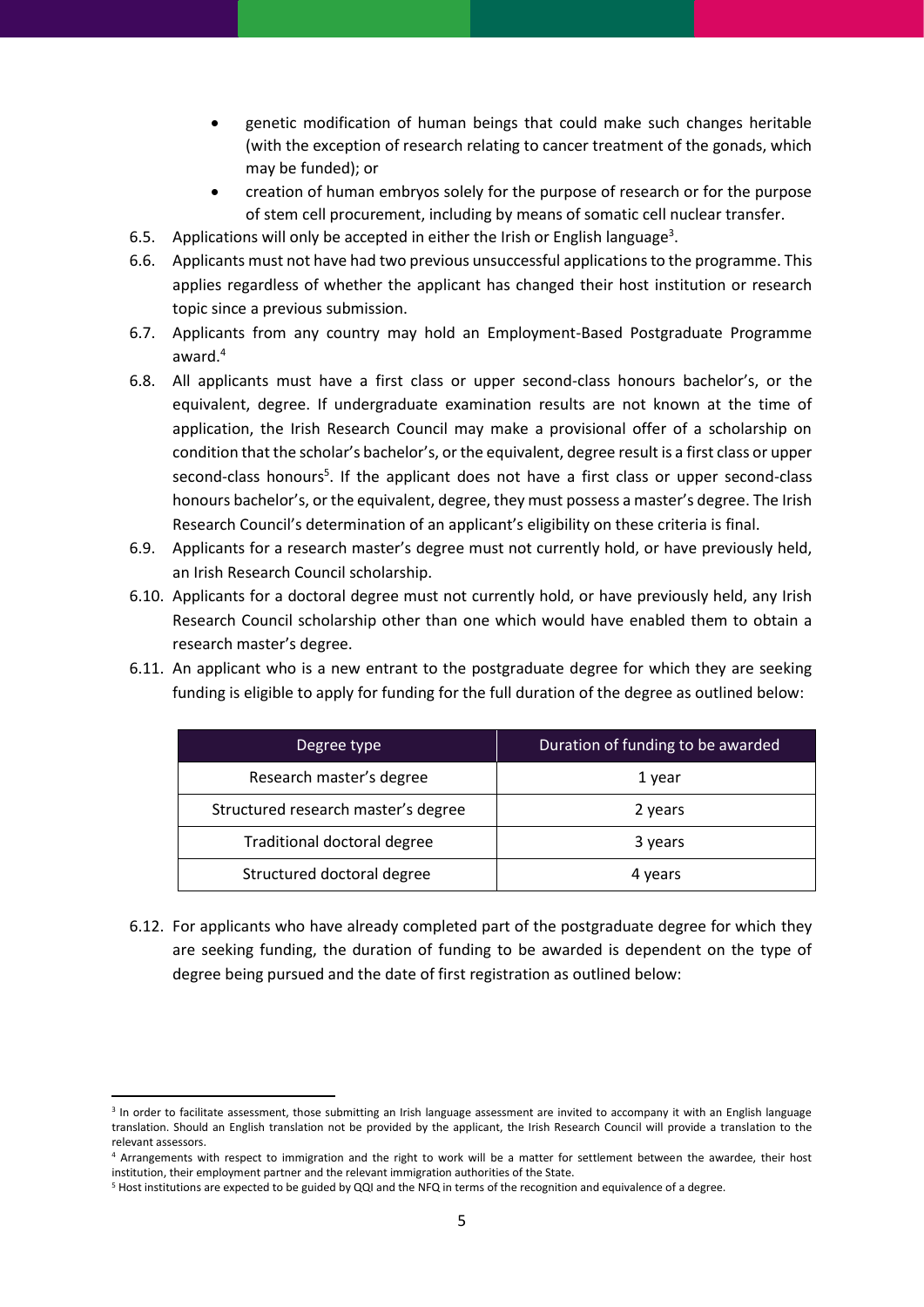- genetic modification of human beings that could make such changes heritable (with the exception of research relating to cancer treatment of the gonads, which may be funded); or
- creation of human embryos solely for the purpose of research or for the purpose of stem cell procurement, including by means of somatic cell nuclear transfer.
- 6.5. Applications will only be accepted in either the Irish or English language<sup>3</sup>.
- 6.6. Applicants must not have had two previous unsuccessful applications to the programme. This applies regardless of whether the applicant has changed their host institution or research topic since a previous submission.
- 6.7. Applicants from any country may hold an Employment-Based Postgraduate Programme award.<sup>4</sup>
- 6.8. All applicants must have a first class or upper second-class honours bachelor's, or the equivalent, degree. If undergraduate examination results are not known at the time of application, the Irish Research Council may make a provisional offer of a scholarship on condition that the scholar's bachelor's, or the equivalent, degree result is a first class or upper second-class honours<sup>5</sup>. If the applicant does not have a first class or upper second-class honours bachelor's, or the equivalent, degree, they must possess a master's degree. The Irish Research Council's determination of an applicant's eligibility on these criteria is final.
- 6.9. Applicants for a research master's degree must not currently hold, or have previously held, an Irish Research Council scholarship.
- 6.10. Applicants for a doctoral degree must not currently hold, or have previously held, any Irish Research Council scholarship other than one which would have enabled them to obtain a research master's degree.
- 6.11. An applicant who is a new entrant to the postgraduate degree for which they are seeking funding is eligible to apply for funding for the full duration of the degree as outlined below:

| Degree type                         | Duration of funding to be awarded |  |
|-------------------------------------|-----------------------------------|--|
| Research master's degree            | 1 year                            |  |
| Structured research master's degree | 2 years                           |  |
| Traditional doctoral degree         | 3 years                           |  |
| Structured doctoral degree          | 4 years                           |  |

6.12. For applicants who have already completed part of the postgraduate degree for which they are seeking funding, the duration of funding to be awarded is dependent on the type of degree being pursued and the date of first registration as outlined below:

<sup>&</sup>lt;sup>3</sup> In order to facilitate assessment, those submitting an Irish language assessment are invited to accompany it with an English language translation. Should an English translation not be provided by the applicant, the Irish Research Council will provide a translation to the relevant assessors.

<sup>4</sup> Arrangements with respect to immigration and the right to work will be a matter for settlement between the awardee, their host institution, their employment partner and the relevant immigration authorities of the State.

<sup>5</sup> Host institutions are expected to be guided by QQI and the NFQ in terms of the recognition and equivalence of a degree.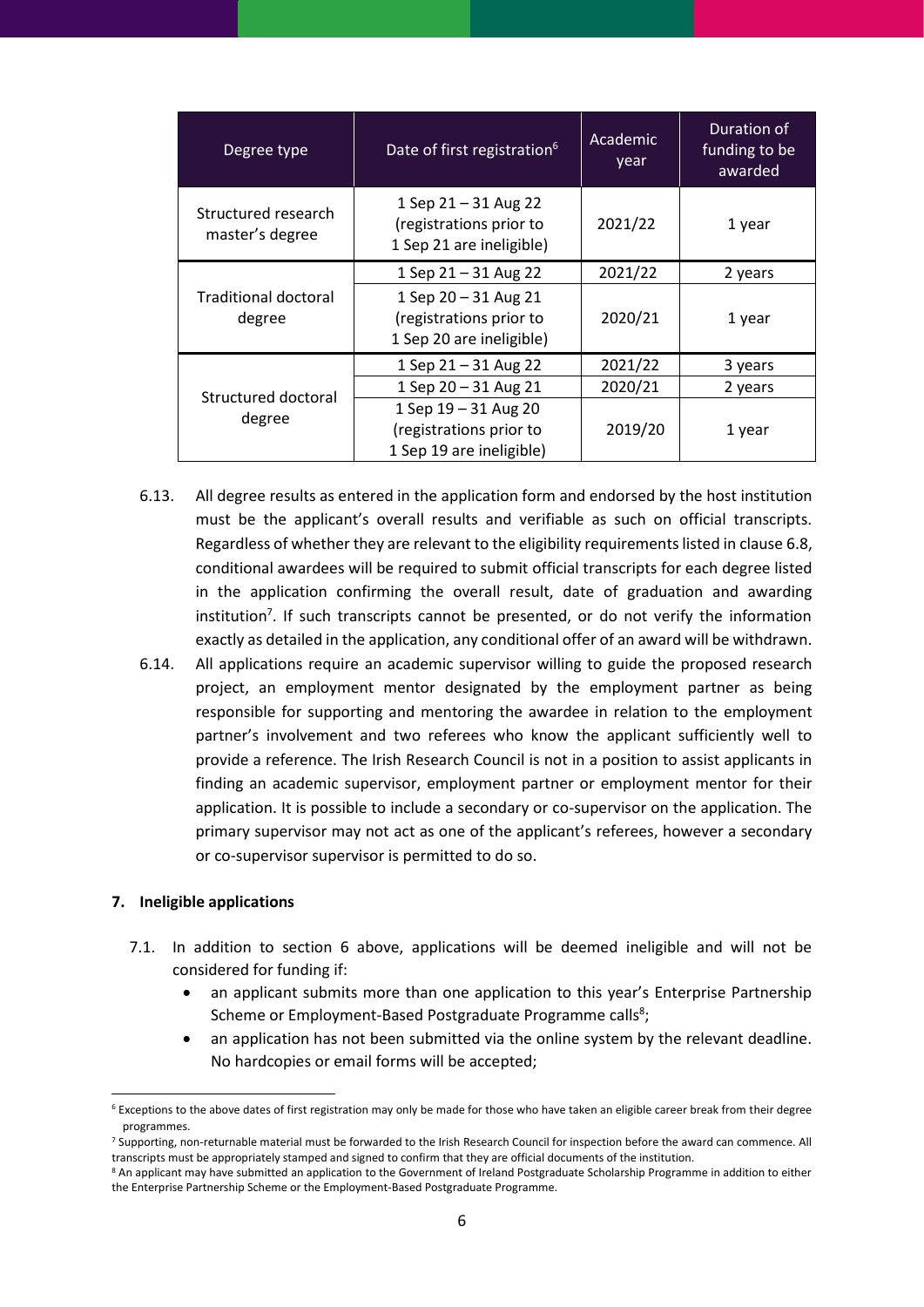| Degree type                            | Date of first registration <sup>6</sup>                                     | Academic<br>year | Duration of<br>funding to be<br>awarded |
|----------------------------------------|-----------------------------------------------------------------------------|------------------|-----------------------------------------|
| Structured research<br>master's degree | 1 Sep 21 - 31 Aug 22<br>(registrations prior to<br>1 Sep 21 are ineligible) | 2021/22          | 1 year                                  |
|                                        | 1 Sep $21 - 31$ Aug 22                                                      | 2021/22          | 2 years                                 |
| Traditional doctoral<br>degree         | 1 Sep 20 - 31 Aug 21<br>(registrations prior to<br>1 Sep 20 are ineligible) | 2020/21          | 1 year                                  |
|                                        | 1 Sep 21 - 31 Aug 22                                                        | 2021/22          | 3 years                                 |
| Structured doctoral                    | 1 Sep 20 - 31 Aug 21                                                        | 2020/21          | 2 years                                 |
| degree                                 | 1 Sep 19 - 31 Aug 20<br>(registrations prior to<br>1 Sep 19 are ineligible) | 2019/20          | 1 year                                  |

- 6.13. All degree results as entered in the application form and endorsed by the host institution must be the applicant's overall results and verifiable as such on official transcripts. Regardless of whether they are relevant to the eligibility requirements listed in clause 6.8, conditional awardees will be required to submit official transcripts for each degree listed in the application confirming the overall result, date of graduation and awarding institution<sup>7</sup>. If such transcripts cannot be presented, or do not verify the information exactly as detailed in the application, any conditional offer of an award will be withdrawn.
- 6.14. All applications require an academic supervisor willing to guide the proposed research project, an employment mentor designated by the employment partner as being responsible for supporting and mentoring the awardee in relation to the employment partner's involvement and two referees who know the applicant sufficiently well to provide a reference. The Irish Research Council is not in a position to assist applicants in finding an academic supervisor, employment partner or employment mentor for their application. It is possible to include a secondary or co-supervisor on the application. The primary supervisor may not act as one of the applicant's referees, however a secondary or co-supervisor supervisor is permitted to do so.

#### <span id="page-5-0"></span>**7. Ineligible applications**

- 7.1. In addition to section 6 above, applications will be deemed ineligible and will not be considered for funding if:
	- an applicant submits more than one application to this year's Enterprise Partnership Scheme or Employment-Based Postgraduate Programme calls<sup>8</sup>;
	- an application has not been submitted via the online system by the relevant deadline. No hardcopies or email forms will be accepted;

<sup>6</sup> Exceptions to the above dates of first registration may only be made for those who have taken an eligible career break from their degree programmes.

<sup>&</sup>lt;sup>7</sup> Supporting, non-returnable material must be forwarded to the Irish Research Council for inspection before the award can commence. All transcripts must be appropriately stamped and signed to confirm that they are official documents of the institution.

<sup>&</sup>lt;sup>8</sup> An applicant may have submitted an application to the Government of Ireland Postgraduate Scholarship Programme in addition to either the Enterprise Partnership Scheme or the Employment-Based Postgraduate Programme.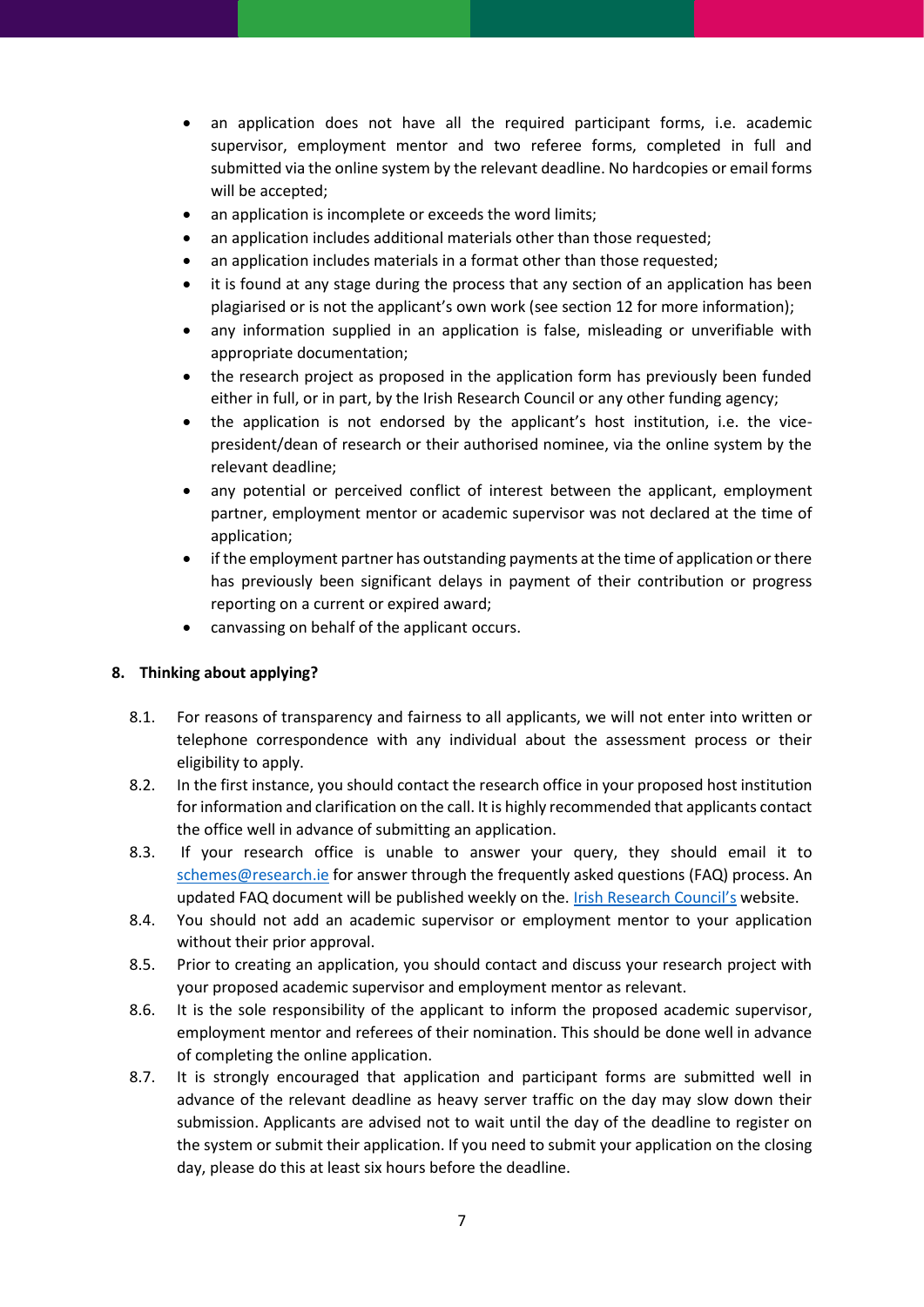- an application does not have all the required participant forms, i.e. academic supervisor, employment mentor and two referee forms, completed in full and submitted via the online system by the relevant deadline. No hardcopies or email forms will be accepted;
- an application is incomplete or exceeds the word limits;
- an application includes additional materials other than those requested;
- an application includes materials in a format other than those requested;
- it is found at any stage during the process that any section of an application has been plagiarised or is not the applicant's own work (see section 12 for more information);
- any information supplied in an application is false, misleading or unverifiable with appropriate documentation;
- the research project as proposed in the application form has previously been funded either in full, or in part, by the Irish Research Council or any other funding agency;
- the application is not endorsed by the applicant's host institution, i.e. the vicepresident/dean of research or their authorised nominee, via the online system by the relevant deadline;
- any potential or perceived conflict of interest between the applicant, employment partner, employment mentor or academic supervisor was not declared at the time of application;
- if the employment partner has outstanding payments at the time of application or there has previously been significant delays in payment of their contribution or progress reporting on a current or expired award;
- canvassing on behalf of the applicant occurs.

#### <span id="page-6-0"></span>**8. Thinking about applying?**

- 8.1. For reasons of transparency and fairness to all applicants, we will not enter into written or telephone correspondence with any individual about the assessment process or their eligibility to apply.
- 8.2. In the first instance, you should contact the research office in your proposed host institution for information and clarification on the call. It is highly recommended that applicants contact the office well in advance of submitting an application.
- 8.3. If your research office is unable to answer your query, they should email it to [schemes@research.ie](mailto:schemes@research.ie) for answer through the frequently asked questions (FAQ) process. An updated FAQ document will be published weekly on the. [Irish Research Council's](https://research.ie/funding/ebp/) website.
- 8.4. You should not add an academic supervisor or employment mentor to your application without their prior approval.
- 8.5. Prior to creating an application, you should contact and discuss your research project with your proposed academic supervisor and employment mentor as relevant.
- 8.6. It is the sole responsibility of the applicant to inform the proposed academic supervisor, employment mentor and referees of their nomination. This should be done well in advance of completing the online application.
- 8.7. It is strongly encouraged that application and participant forms are submitted well in advance of the relevant deadline as heavy server traffic on the day may slow down their submission. Applicants are advised not to wait until the day of the deadline to register on the system or submit their application. If you need to submit your application on the closing day, please do this at least six hours before the deadline.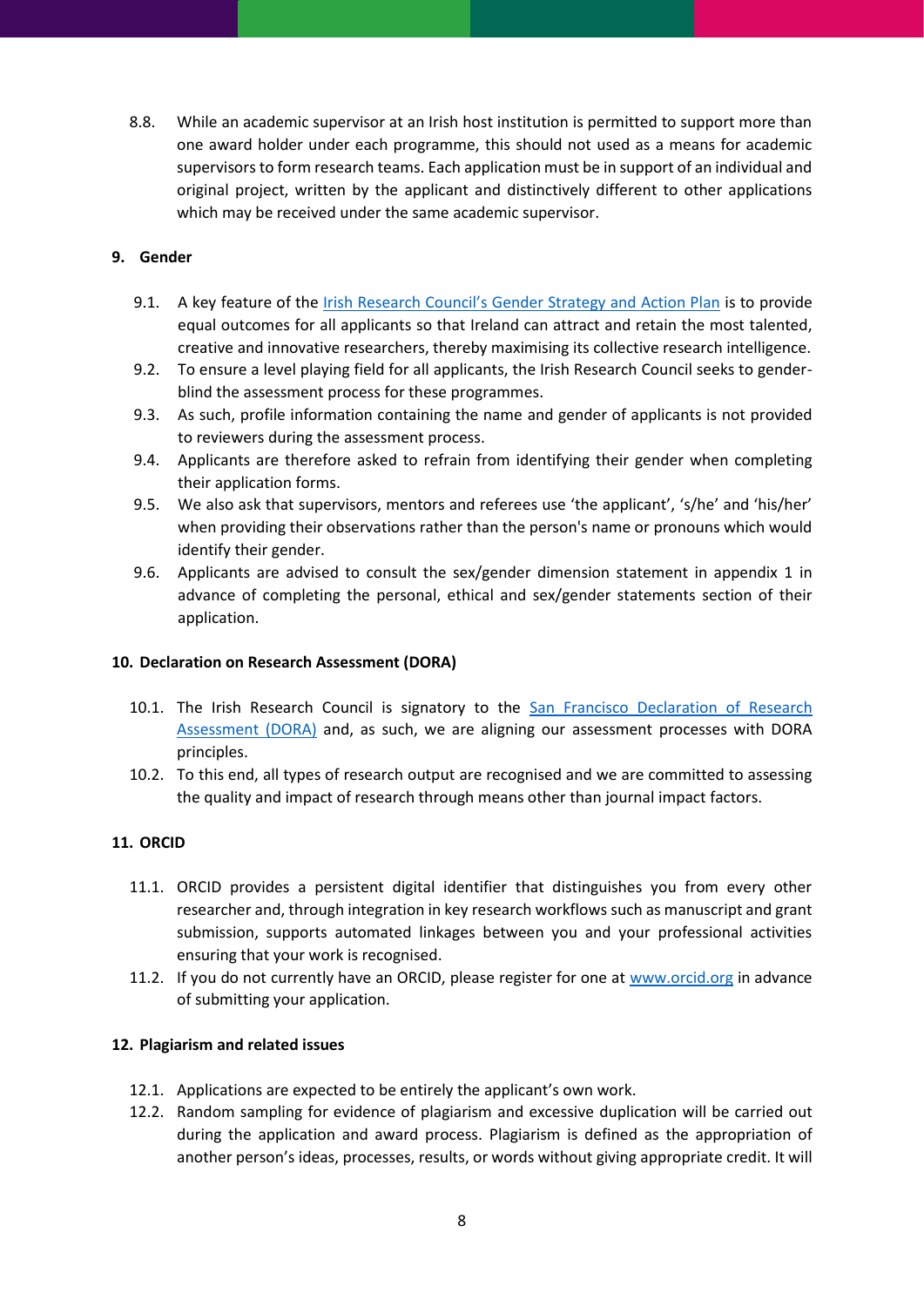8.8. While an academic supervisor at an Irish host institution is permitted to support more than one award holder under each programme, this should not used as a means for academic supervisors to form research teams. Each application must be in support of an individual and original project, written by the applicant and distinctively different to other applications which may be received under the same academic supervisor.

## <span id="page-7-0"></span>**9. Gender**

- 9.1. A key feature of the [Irish Research Council's Gender Strategy and Action Plan](https://research.ie/resources/publications/gender-strategy-and-action-plan-2013-2020/) is to provide equal outcomes for all applicants so that Ireland can attract and retain the most talented, creative and innovative researchers, thereby maximising its collective research intelligence.
- 9.2. To ensure a level playing field for all applicants, the Irish Research Council seeks to genderblind the assessment process for these programmes.
- 9.3. As such, profile information containing the name and gender of applicants is not provided to reviewers during the assessment process.
- 9.4. Applicants are therefore asked to refrain from identifying their gender when completing their application forms.
- 9.5. We also ask that supervisors, mentors and referees use 'the applicant', 's/he' and 'his/her' when providing their observations rather than the person's name or pronouns which would identify their gender.
- 9.6. Applicants are advised to consult the sex/gender dimension statement in appendix 1 in advance of completing the personal, ethical and sex/gender statements section of their application.

#### <span id="page-7-1"></span>**10. Declaration on Research Assessment (DORA)**

- 10.1. The Irish Research Council is signatory to the San Francisco Declaration of Research [Assessment \(DORA\)](https://sfdora.org/) and, as such, we are aligning our assessment processes with DORA principles.
- 10.2. To this end, all types of research output are recognised and we are committed to assessing the quality and impact of research through means other than journal impact factors.

## <span id="page-7-2"></span>**11. ORCID**

- 11.1. ORCID provides a persistent digital identifier that distinguishes you from every other researcher and, through integration in key research workflows such as manuscript and grant submission, supports automated linkages between you and your professional activities ensuring that your work is recognised.
- 11.2. If you do not currently have an ORCID, please register for one at [www.orcid.org](http://www.orcid.org/) in advance of submitting your application.

#### <span id="page-7-3"></span>**12. Plagiarism and related issues**

- 12.1. Applications are expected to be entirely the applicant's own work.
- 12.2. Random sampling for evidence of plagiarism and excessive duplication will be carried out during the application and award process. Plagiarism is defined as the appropriation of another person's ideas, processes, results, or words without giving appropriate credit. It will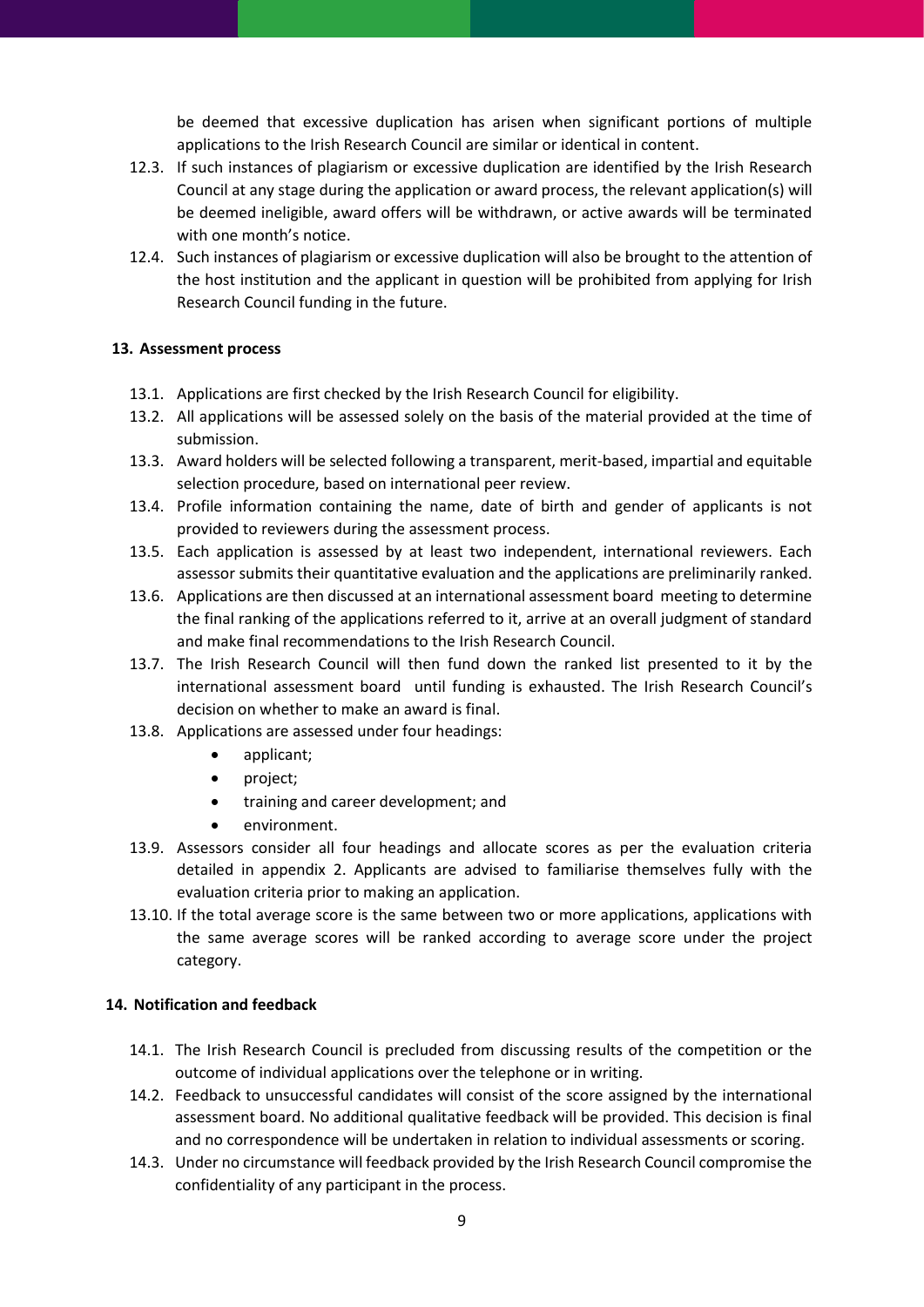be deemed that excessive duplication has arisen when significant portions of multiple applications to the Irish Research Council are similar or identical in content.

- 12.3. If such instances of plagiarism or excessive duplication are identified by the Irish Research Council at any stage during the application or award process, the relevant application(s) will be deemed ineligible, award offers will be withdrawn, or active awards will be terminated with one month's notice.
- 12.4. Such instances of plagiarism or excessive duplication will also be brought to the attention of the host institution and the applicant in question will be prohibited from applying for Irish Research Council funding in the future.

## <span id="page-8-0"></span>**13. Assessment process**

- 13.1. Applications are first checked by the Irish Research Council for eligibility.
- 13.2. All applications will be assessed solely on the basis of the material provided at the time of submission.
- 13.3. Award holders will be selected following a transparent, merit-based, impartial and equitable selection procedure, based on international peer review.
- 13.4. Profile information containing the name, date of birth and gender of applicants is not provided to reviewers during the assessment process.
- 13.5. Each application is assessed by at least two independent, international reviewers. Each assessor submits their quantitative evaluation and the applications are preliminarily ranked.
- 13.6. Applications are then discussed at an international assessment board meeting to determine the final ranking of the applications referred to it, arrive at an overall judgment of standard and make final recommendations to the Irish Research Council.
- 13.7. The Irish Research Council will then fund down the ranked list presented to it by the international assessment board until funding is exhausted. The Irish Research Council's decision on whether to make an award is final.
- 13.8. Applications are assessed under four headings:
	- applicant;
		- project;
		- training and career development; and
		- environment.
- 13.9. Assessors consider all four headings and allocate scores as per the evaluation criteria detailed in appendix 2. Applicants are advised to familiarise themselves fully with the evaluation criteria prior to making an application.
- 13.10. If the total average score is the same between two or more applications, applications with the same average scores will be ranked according to average score under the project category.

## <span id="page-8-1"></span>**14. Notification and feedback**

- 14.1. The Irish Research Council is precluded from discussing results of the competition or the outcome of individual applications over the telephone or in writing.
- 14.2. Feedback to unsuccessful candidates will consist of the score assigned by the international assessment board. No additional qualitative feedback will be provided. This decision is final and no correspondence will be undertaken in relation to individual assessments or scoring.
- 14.3. Under no circumstance will feedback provided by the Irish Research Council compromise the confidentiality of any participant in the process.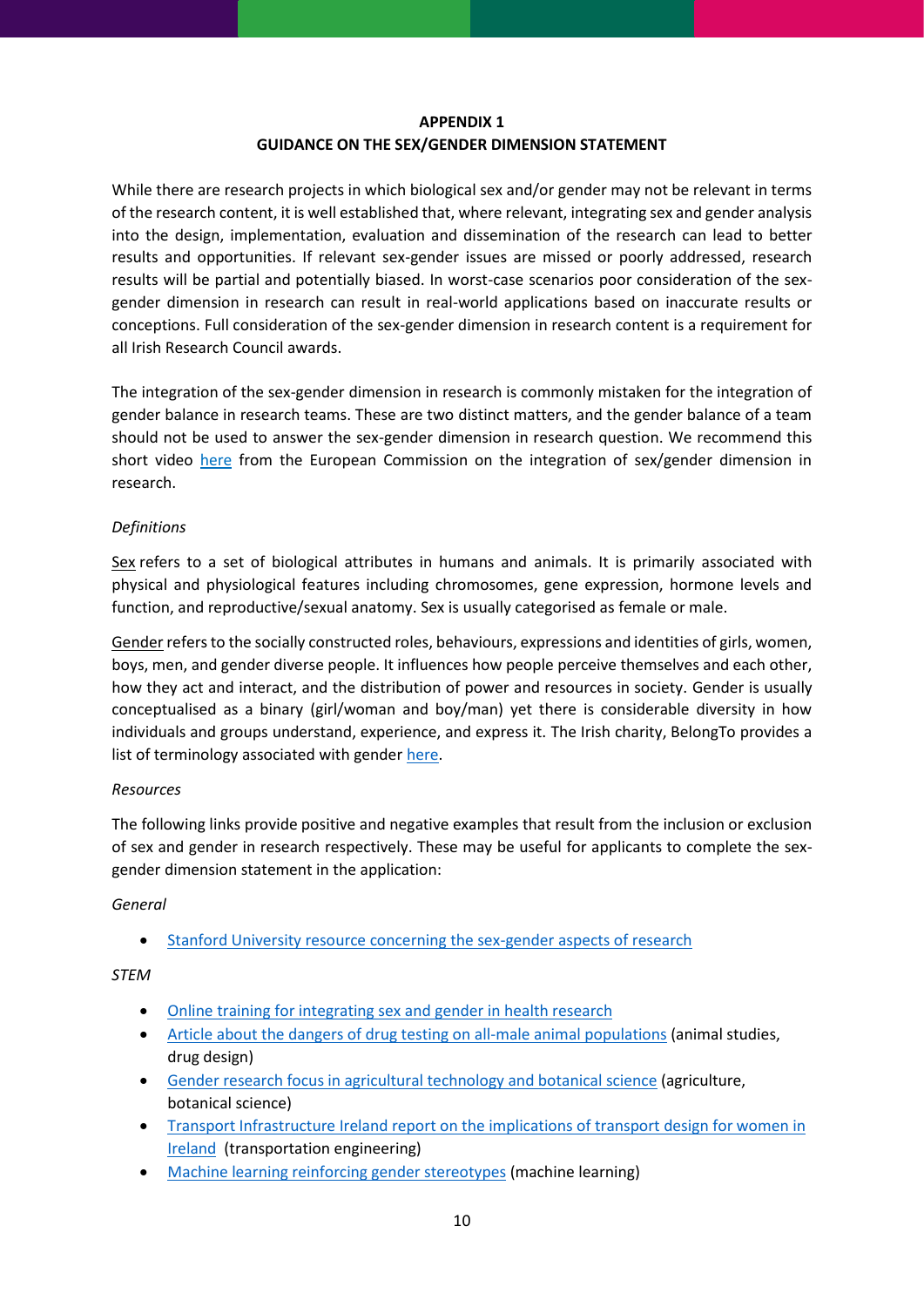## **APPENDIX 1 GUIDANCE ON THE SEX/GENDER DIMENSION STATEMENT**

<span id="page-9-0"></span>While there are research projects in which biological sex and/or gender may not be relevant in terms of the research content, it is well established that, where relevant, integrating sex and gender analysis into the design, implementation, evaluation and dissemination of the research can lead to better results and opportunities. If relevant sex-gender issues are missed or poorly addressed, research results will be partial and potentially biased. In worst-case scenarios poor consideration of the sexgender dimension in research can result in real-world applications based on inaccurate results or conceptions. Full consideration of the sex-gender dimension in research content is a requirement for all Irish Research Council awards.

The integration of the sex-gender dimension in research is commonly mistaken for the integration of gender balance in research teams. These are two distinct matters, and the gender balance of a team should not be used to answer the sex-gender dimension in research question. We recommend this short video [here](https://www.youtube.com/watch?v=67sbLrJAflQ) from the European Commission on the integration of sex/gender dimension in research.

## *Definitions*

Sex refers to a set of biological attributes in humans and animals. It is primarily associated with physical and physiological features including chromosomes, gene expression, hormone levels and function, and reproductive/sexual anatomy. Sex is usually categorised as female or male.

Gender refers to the socially constructed roles, behaviours, expressions and identities of girls, women, boys, men, and gender diverse people. It influences how people perceive themselves and each other, how they act and interact, and the distribution of power and resources in society. Gender is usually conceptualised as a binary (girl/woman and boy/man) yet there is considerable diversity in how individuals and groups understand, experience, and express it. The Irish charity, BelongTo provides a list of terminology associated with gender [here.](https://www.belongto.org/parents/lets-talk-terminology/)

## *Resources*

The following links provide positive and negative examples that result from the inclusion or exclusion of sex and gender in research respectively. These may be useful for applicants to complete the sexgender dimension statement in the application:

## *General*

• [Stanford University resource concerning the sex-gender aspects of research](http://genderedinnovations.stanford.edu/methods/priorities.html)

## *STEM*

- [Online training for integrating sex and gender in health research](https://cihr-irsc.gc.ca/e/49347.html)
- [Article about the dangers of drug testing on all-male animal populations](https://www.theguardian.com/science/2019/may/31/sexist-research-means-drugs-more-tailored-to-men-says-scientist) (animal studies, drug design)
- [Gender research focus in agricultural technology and botanical science](https://www.cgiar.org/gender-focus-agricultural-research/) (agriculture, botanical science)
- Transport Infrastructure Ireland report on the implications of transport design for women in [Ireland](https://www.tii.ie/technical-services/research/TII-Travelling-in-a-Womans-Shoes-Report_Issue.pdf) (transportation engineering)
- [Machine learning reinforcing gender stereotypes](https://www.wired.com/story/machines-taught-by-photos-learn-a-sexist-view-of-women/) (machine learning)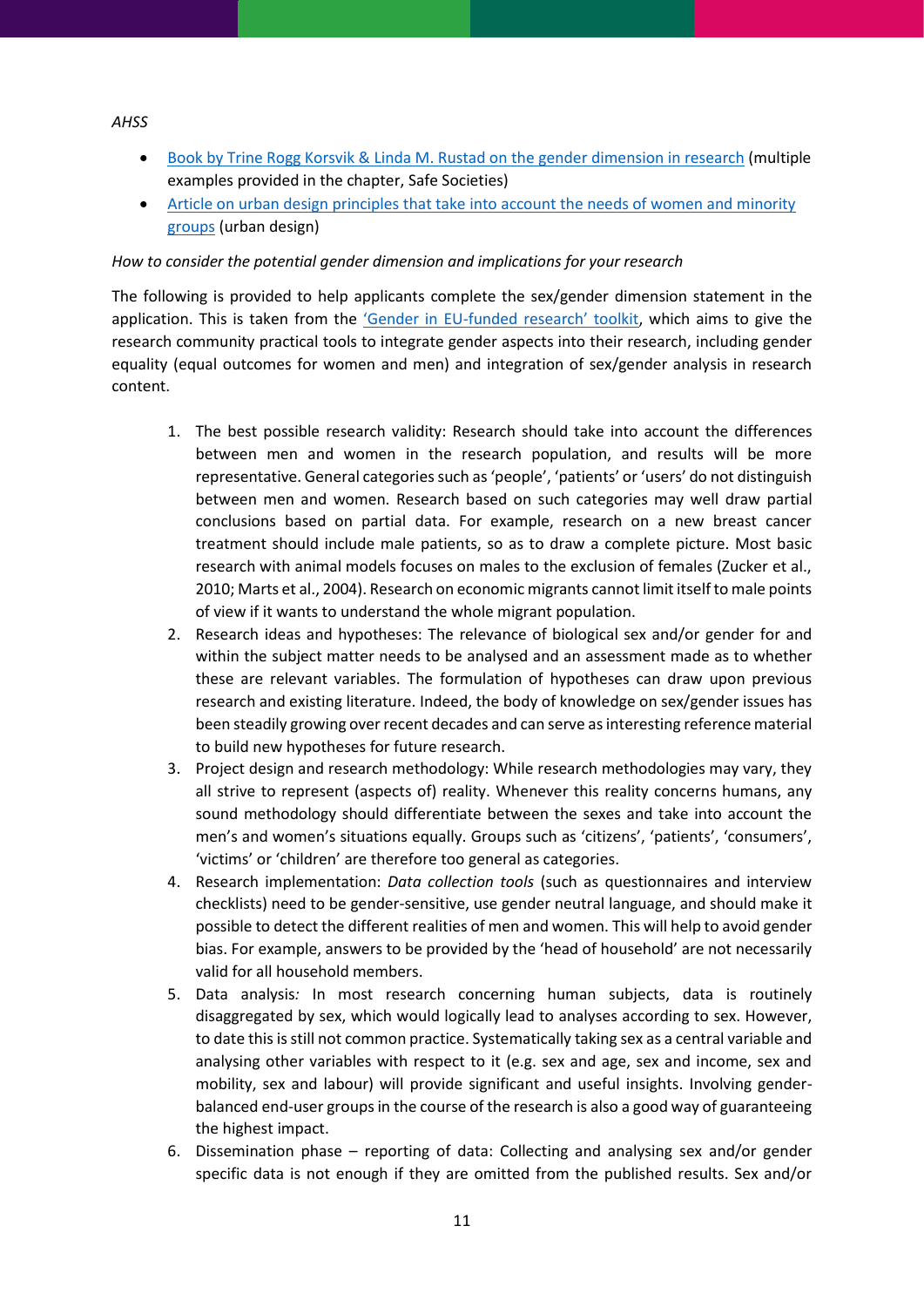#### *AHSS*

- [Book by Trine Rogg Korsvik & Linda M. Rustad on the gender dimension in research](https://kjonnsforskning.no/sites/default/files/what_is_the_gender_dimension_roggkorsvik_kilden_genderresearch.no_.pdf) (multiple examples provided in the chapter, Safe Societies)
- Article on urban design principles [that take into account the needs of women and minority](https://www.theguardian.com/commentisfree/2021/mar/16/the-guardian-view-on-urban-insecurity-build-a-feminist-city)  [groups](https://www.theguardian.com/commentisfree/2021/mar/16/the-guardian-view-on-urban-insecurity-build-a-feminist-city) (urban design)

#### *How to consider the potential gender dimension and implications for your research*

The following is provided to help applicants complete the sex/gender dimension statement in the application. This is taken from the 'Gender in EU-[funded research' toolkit](http://www.yellowwindow.be/genderinresearch/downloads/YW2009_GenderToolKit_Module1.pdf), which aims to give the research community practical tools to integrate gender aspects into their research, including gender equality (equal outcomes for women and men) and integration of sex/gender analysis in research content.

- 1. The best possible research validity: Research should take into account the differences between men and women in the research population, and results will be more representative. General categories such as 'people', 'patients' or 'users' do not distinguish between men and women. Research based on such categories may well draw partial conclusions based on partial data. For example, research on a new breast cancer treatment should include male patients, so as to draw a complete picture. Most basic research with animal models focuses on males to the exclusion of females (Zucker et al., 2010; Marts et al., 2004). Research on economic migrants cannot limit itself to male points of view if it wants to understand the whole migrant population.
- 2. Research ideas and hypotheses: The relevance of biological sex and/or gender for and within the subject matter needs to be analysed and an assessment made as to whether these are relevant variables. The formulation of hypotheses can draw upon previous research and existing literature. Indeed, the body of knowledge on sex/gender issues has been steadily growing over recent decades and can serve as interesting reference material to build new hypotheses for future research.
- 3. Project design and research methodology: While research methodologies may vary, they all strive to represent (aspects of) reality. Whenever this reality concerns humans, any sound methodology should differentiate between the sexes and take into account the men's and women's situations equally. Groups such as 'citizens', 'patients', 'consumers', 'victims' or 'children' are therefore too general as categories.
- 4. Research implementation: *Data collection tools* (such as questionnaires and interview checklists) need to be gender-sensitive, use gender neutral language, and should make it possible to detect the different realities of men and women. This will help to avoid gender bias. For example, answers to be provided by the 'head of household' are not necessarily valid for all household members.
- 5. Data analysis*:* In most research concerning human subjects, data is routinely disaggregated by sex, which would logically lead to analyses according to sex. However, to date this is still not common practice. Systematically taking sex as a central variable and analysing other variables with respect to it (e.g. sex and age, sex and income, sex and mobility, sex and labour) will provide significant and useful insights. Involving genderbalanced end-user groups in the course of the research is also a good way of guaranteeing the highest impact.
- 6. Dissemination phase reporting of data: Collecting and analysing sex and/or gender specific data is not enough if they are omitted from the published results. Sex and/or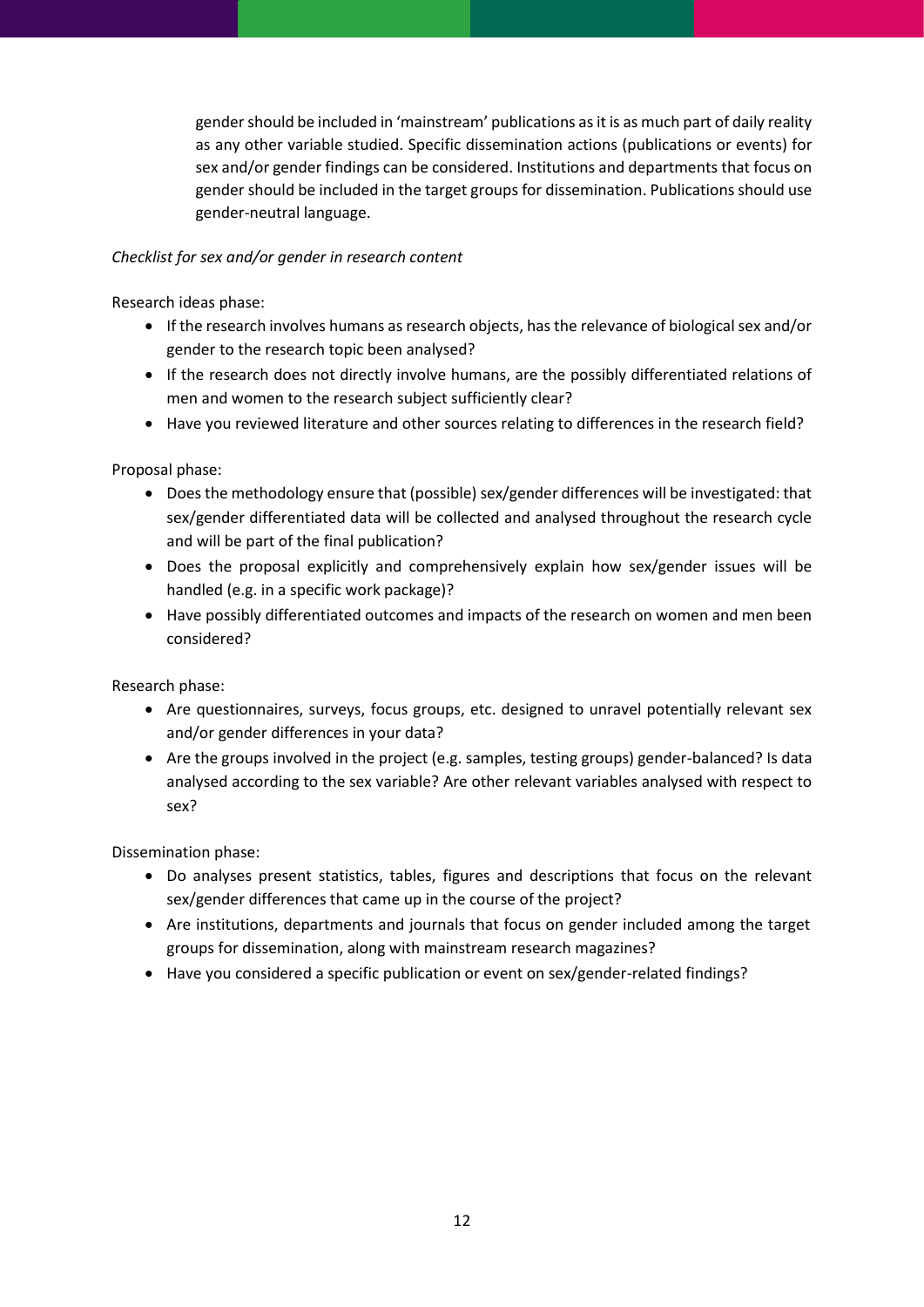gender should be included in 'mainstream' publications as it is as much part of daily reality as any other variable studied. Specific dissemination actions (publications or events) for sex and/or gender findings can be considered. Institutions and departments that focus on gender should be included in the target groups for dissemination. Publications should use gender-neutral language.

## *Checklist for sex and/or gender in research content*

Research ideas phase:

- If the research involves humans as research objects, has the relevance of biological sex and/or gender to the research topic been analysed?
- If the research does not directly involve humans, are the possibly differentiated relations of men and women to the research subject sufficiently clear?
- Have you reviewed literature and other sources relating to differences in the research field?

Proposal phase:

- Does the methodology ensure that (possible) sex/gender differences will be investigated: that sex/gender differentiated data will be collected and analysed throughout the research cycle and will be part of the final publication?
- Does the proposal explicitly and comprehensively explain how sex/gender issues will be handled (e.g. in a specific work package)?
- Have possibly differentiated outcomes and impacts of the research on women and men been considered?

Research phase:

- Are questionnaires, surveys, focus groups, etc. designed to unravel potentially relevant sex and/or gender differences in your data?
- Are the groups involved in the project (e.g. samples, testing groups) gender-balanced? Is data analysed according to the sex variable? Are other relevant variables analysed with respect to sex?

Dissemination phase:

- Do analyses present statistics, tables, figures and descriptions that focus on the relevant sex/gender differences that came up in the course of the project?
- Are institutions, departments and journals that focus on gender included among the target groups for dissemination, along with mainstream research magazines?
- Have you considered a specific publication or event on sex/gender-related findings?